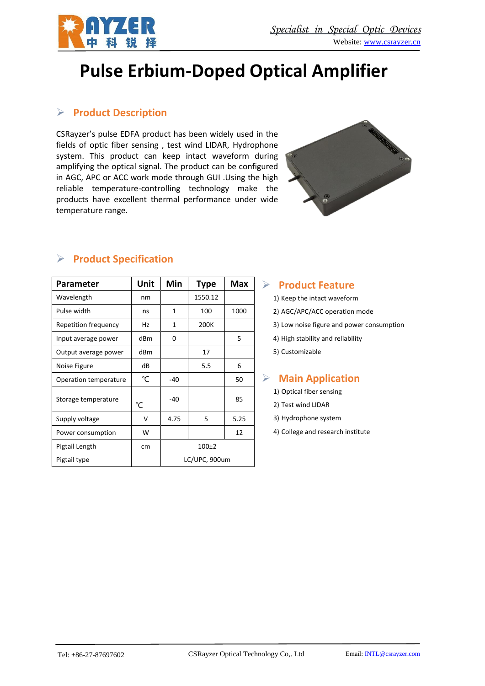

# **Pulse Erbium-Doped Optical Amplifier**

### ➢ **Product Description**

CSRayzer's pulse EDFA product has been widely used in the fields of optic fiber sensing , test wind LIDAR, Hydrophone system. This product can keep intact waveform during amplifying the optical signal. The product can be configured in AGC, APC or ACC work mode through GUI .Using the high reliable temperature-controlling technology make the products have excellent thermal performance under wide temperature range.



| Parameter             | Unit | Min           | <b>Type</b> | Max  |
|-----------------------|------|---------------|-------------|------|
| Wavelength            | nm   |               | 1550.12     |      |
| Pulse width           | ns   | 1             | 100         | 1000 |
| Repetition frequency  | Hz   | $\mathbf{1}$  | 200K        |      |
| Input average power   | dBm  | 0             |             | 5    |
| Output average power  | dBm  |               | 17          |      |
| Noise Figure          | dB   |               | 5.5         | 6    |
| Operation temperature | °C   | -40           |             | 50   |
| Storage temperature   | °C   | $-40$         |             | 85   |
| Supply voltage        | v    | 4.75          | 5           | 5.25 |
| Power consumption     | W    |               |             | 12   |
| Pigtail Length        | cm   | $100+2$       |             |      |
| Pigtail type          |      | LC/UPC, 900um |             |      |

## ➢ **Product Specification**

#### ➢ **Product Feature**

- 1) Keep the intact waveform
- 2) AGC/APC/ACC operation mode
- 3) Low noise figure and power consumption
- 4) High stability and reliability
- 5) Customizable

#### ➢ **Main Application**

- 1) Optical fiber sensing
- 2) Test wind LIDAR
- 3) Hydrophone system
- 4) College and research institute